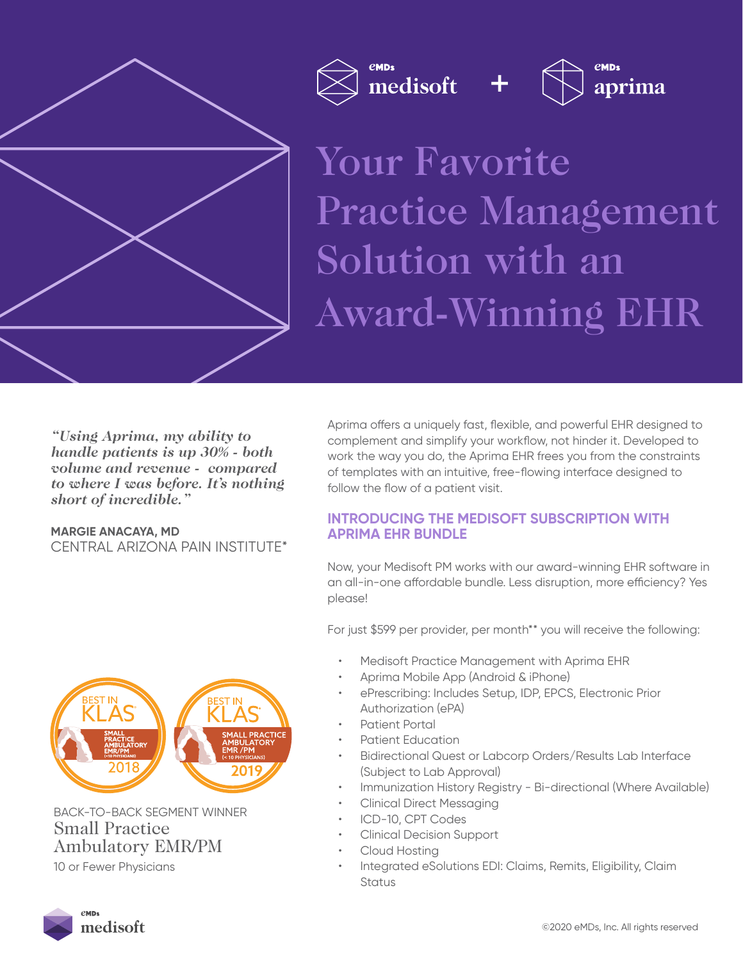

Your Favorite Practice Management Solution with an Award-Winning EHR +

aprima

medisoft

*"Using Aprima, my ability to handle patients is up 30% - both volume and revenue - compared to where I was before. It's nothing short of incredible."*

**MARGIE ANACAYA, MD** CENTRAL ARIZONA PAIN INSTITUTE\* Aprima offers a uniquely fast, flexible, and powerful EHR designed to complement and simplify your workflow, not hinder it. Developed to work the way you do, the Aprima EHR frees you from the constraints of templates with an intuitive, free-flowing interface designed to follow the flow of a patient visit.

# **INTRODUCING THE MEDISOFT SUBSCRIPTION WITH APRIMA EHR BUNDLE**

Now, your Medisoft PM works with our award-winning EHR software in an all-in-one affordable bundle. Less disruption, more efficiency? Yes please!

For just \$599 per provider, per month\*\* you will receive the following:

- Medisoft Practice Management with Aprima EHR
- Aprima Mobile App (Android & iPhone)
- ePrescribing: Includes Setup, IDP, EPCS, Electronic Prior Authorization (ePA)
- Patient Portal
- Patient Education
- Bidirectional Quest or Labcorp Orders/Results Lab Interface (Subject to Lab Approval)
- Immunization History Registry Bi-directional (Where Available)
- Clinical Direct Messaging
- ICD-10, CPT Codes
- Clinical Decision Support
- Cloud Hosting
- Integrated eSolutions EDI: Claims, Remits, Eligibility, Claim Status



BACK-TO-BACK SEGMENT WINNER Small Practice Ambulatory EMR/PM 10 or Fewer Physicians